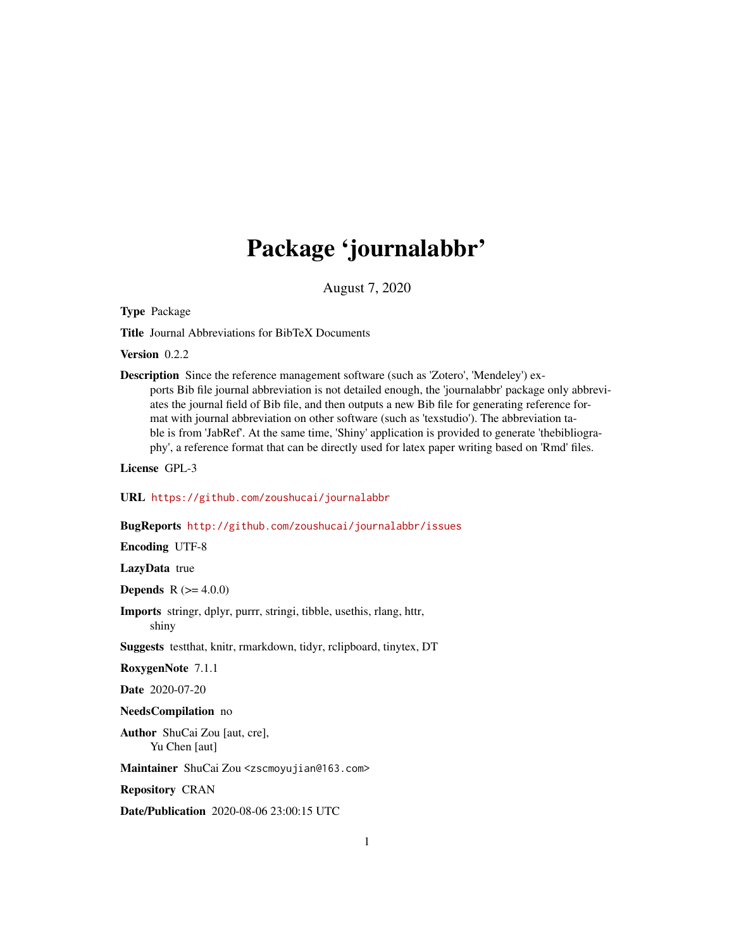## Package 'journalabbr'

August 7, 2020

Type Package

Title Journal Abbreviations for BibTeX Documents

Version 0.2.2

Description Since the reference management software (such as 'Zotero', 'Mendeley') exports Bib file journal abbreviation is not detailed enough, the 'journalabbr' package only abbreviates the journal field of Bib file, and then outputs a new Bib file for generating reference format with journal abbreviation on other software (such as 'texstudio'). The abbreviation table is from 'JabRef'. At the same time, 'Shiny' application is provided to generate 'thebibliography', a reference format that can be directly used for latex paper writing based on 'Rmd' files.

License GPL-3

URL <https://github.com/zoushucai/journalabbr>

#### BugReports <http://github.com/zoushucai/journalabbr/issues>

Encoding UTF-8

LazyData true

**Depends** R  $(>= 4.0.0)$ 

Imports stringr, dplyr, purrr, stringi, tibble, usethis, rlang, httr, shiny

Suggests testthat, knitr, rmarkdown, tidyr, rclipboard, tinytex, DT

RoxygenNote 7.1.1

Date 2020-07-20

#### NeedsCompilation no

Author ShuCai Zou [aut, cre], Yu Chen [aut]

Maintainer ShuCai Zou <zscmoyujian@163.com>

Repository CRAN

Date/Publication 2020-08-06 23:00:15 UTC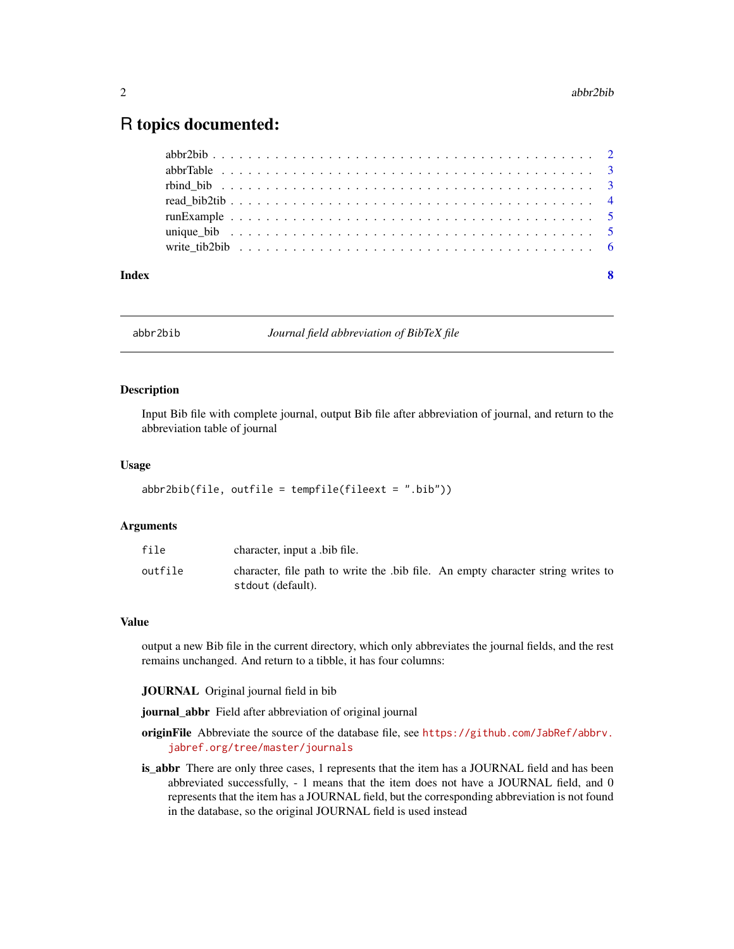### <span id="page-1-0"></span>R topics documented:

| Index | - 8 |
|-------|-----|
|       |     |
|       |     |
|       |     |
|       |     |
|       |     |
|       |     |
|       |     |

abbr2bib *Journal field abbreviation of BibTeX file*

#### Description

Input Bib file with complete journal, output Bib file after abbreviation of journal, and return to the abbreviation table of journal

#### Usage

```
abbr2bib(file, outfile = tempfile(fileext = ".bib"))
```
#### Arguments

| file    | character, input a bib file.                                                                         |
|---------|------------------------------------------------------------------------------------------------------|
| outfile | character, file path to write the bib file. An empty character string writes to<br>stdout (default). |

#### Value

output a new Bib file in the current directory, which only abbreviates the journal fields, and the rest remains unchanged. And return to a tibble, it has four columns:

JOURNAL Original journal field in bib

journal\_abbr Field after abbreviation of original journal

- originFile Abbreviate the source of the database file, see [https://github.com/JabRef/abbrv.](https://github.com/JabRef/abbrv.jabref.org/tree/master/journals) [jabref.org/tree/master/journals](https://github.com/JabRef/abbrv.jabref.org/tree/master/journals)
- is\_abbr There are only three cases, 1 represents that the item has a JOURNAL field and has been abbreviated successfully, - 1 means that the item does not have a JOURNAL field, and 0 represents that the item has a JOURNAL field, but the corresponding abbreviation is not found in the database, so the original JOURNAL field is used instead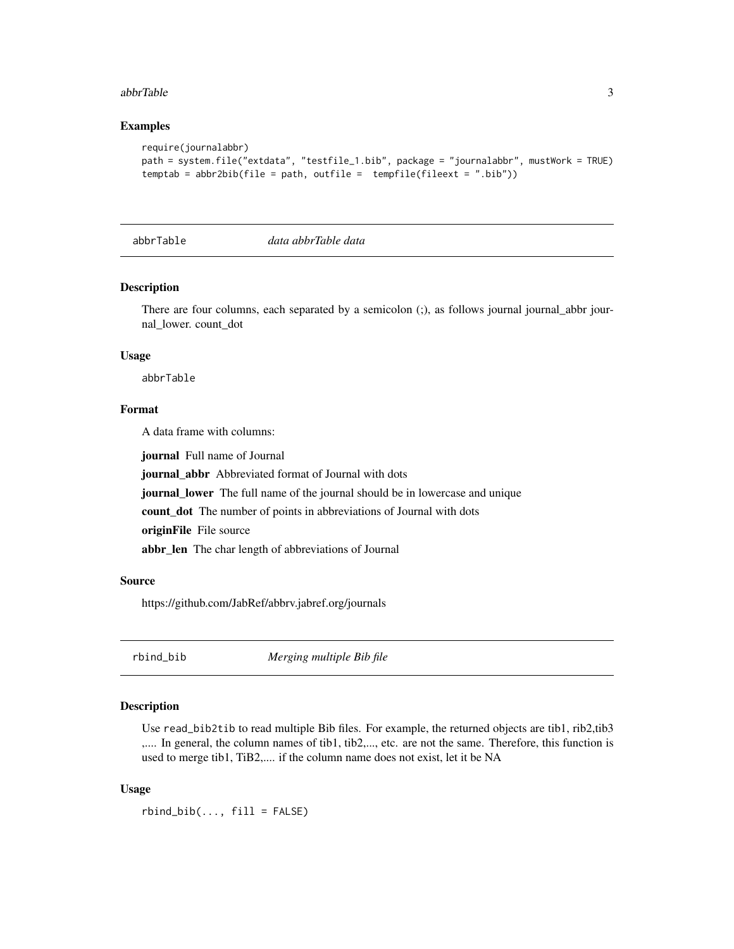#### <span id="page-2-0"></span>abbrTable 3

#### Examples

```
require(journalabbr)
path = system.file("extdata", "testfile_1.bib", package = "journalabbr", mustWork = TRUE)
temptab = abbr2bib(file = path, outfile = tempfile(fileext = ".bib"))
```
<span id="page-2-1"></span>

abbrTable *data abbrTable data*

#### Description

There are four columns, each separated by a semicolon (;), as follows journal journal\_abbr journal\_lower. count\_dot

#### Usage

abbrTable

#### Format

A data frame with columns:

journal Full name of Journal

journal\_abbr Abbreviated format of Journal with dots

journal\_lower The full name of the journal should be in lowercase and unique

count\_dot The number of points in abbreviations of Journal with dots

originFile File source

abbr\_len The char length of abbreviations of Journal

#### Source

https://github.com/JabRef/abbrv.jabref.org/journals

rbind\_bib *Merging multiple Bib file*

#### Description

Use read\_bib2tib to read multiple Bib files. For example, the returned objects are tib1, rib2,tib3 ,.... In general, the column names of tib1, tib2,..., etc. are not the same. Therefore, this function is used to merge tib1, TiB2,.... if the column name does not exist, let it be NA

#### Usage

 $rbind\_bib(\ldots, fill = FALSE)$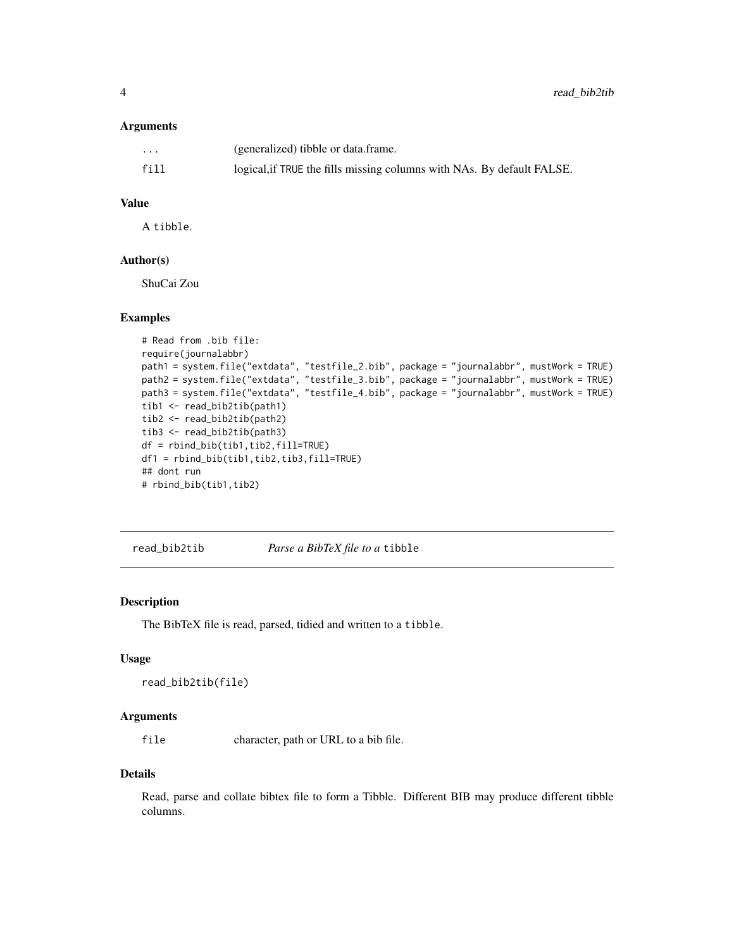#### <span id="page-3-0"></span>Arguments

| $\cdots$ | (generalized) tibble or data.frame.                                    |
|----------|------------------------------------------------------------------------|
| fill     | logical, if TRUE the fills missing columns with NAs. By default FALSE. |

#### Value

A tibble.

#### Author(s)

ShuCai Zou

#### Examples

```
# Read from .bib file:
require(journalabbr)
path1 = system.file("extdata", "testfile_2.bib", package = "journalabbr", mustWork = TRUE)
path2 = system.file("extdata", "testfile_3.bib", package = "journalabbr", mustWork = TRUE)
path3 = system.file("extdata", "testfile_4.bib", package = "journalabbr", mustWork = TRUE)
tib1 <- read_bib2tib(path1)
tib2 <- read_bib2tib(path2)
tib3 <- read_bib2tib(path3)
df = rbind_bib(tib1,tib2,fill=TRUE)
df1 = rbind_bib(tib1,tib2,tib3,fill=TRUE)
## dont run
# rbind_bib(tib1,tib2)
```
<span id="page-3-1"></span>read\_bib2tib *Parse a BibTeX file to a* tibble

#### Description

The BibTeX file is read, parsed, tidied and written to a tibble.

#### Usage

```
read_bib2tib(file)
```
#### Arguments

file character, path or URL to a bib file.

#### Details

Read, parse and collate bibtex file to form a Tibble. Different BIB may produce different tibble columns.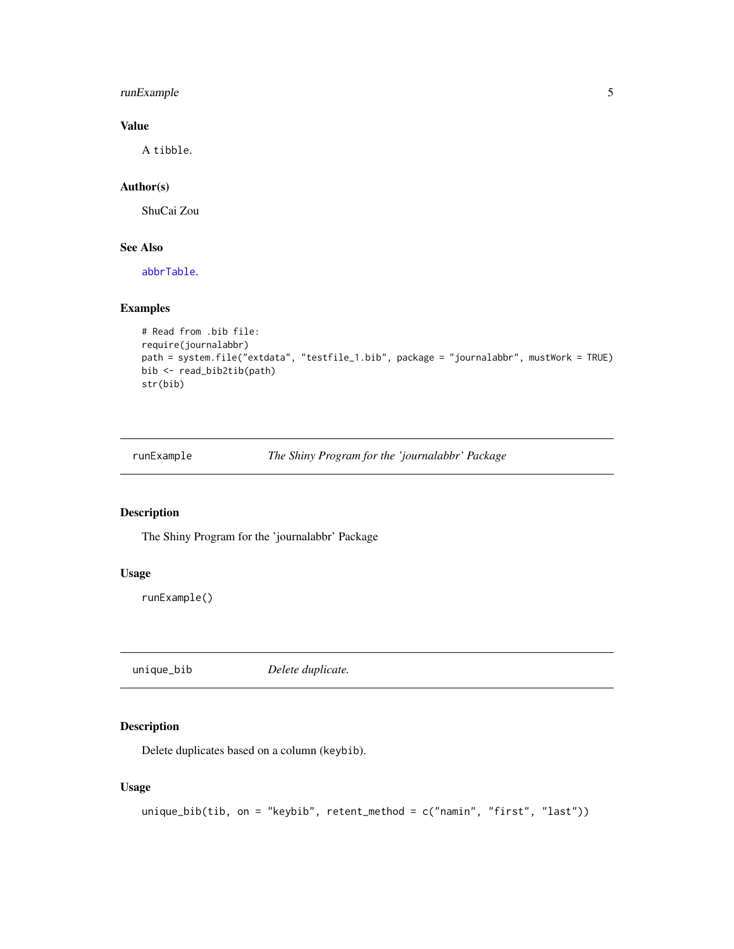#### <span id="page-4-0"></span>runExample 5

#### Value

A tibble.

#### Author(s)

ShuCai Zou

#### See Also

[abbrTable](#page-2-1).

#### Examples

```
# Read from .bib file:
require(journalabbr)
path = system.file("extdata", "testfile_1.bib", package = "journalabbr", mustWork = TRUE)
bib <- read_bib2tib(path)
str(bib)
```
runExample *The Shiny Program for the 'journalabbr' Package*

#### Description

The Shiny Program for the 'journalabbr' Package

#### Usage

runExample()

unique\_bib *Delete duplicate.*

#### Description

Delete duplicates based on a column (keybib).

#### Usage

```
unique_bib(tib, on = "keybib", retent_method = c("namin", "first", "last"))
```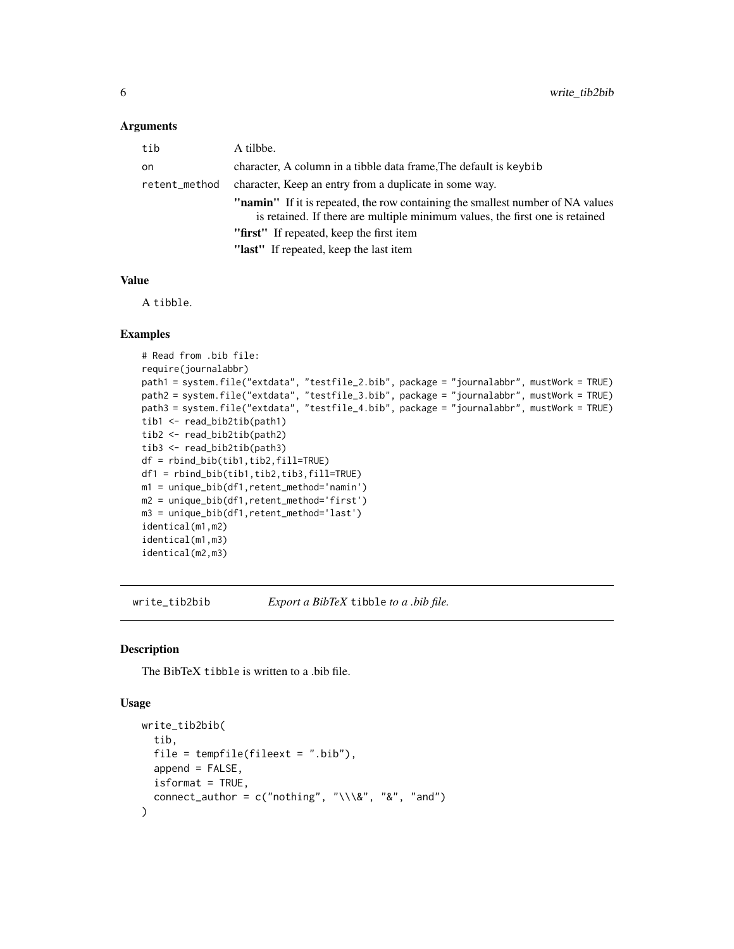#### <span id="page-5-0"></span>Arguments

| tib           | A tilbbe.                                                                                                                                                             |
|---------------|-----------------------------------------------------------------------------------------------------------------------------------------------------------------------|
| on            | character, A column in a tibble data frame. The default is keybib                                                                                                     |
| retent_method | character, Keep an entry from a duplicate in some way.                                                                                                                |
|               | <b>"namin"</b> If it is repeated, the row containing the smallest number of NA values<br>is retained. If there are multiple minimum values, the first one is retained |
|               | "first" If repeated, keep the first item                                                                                                                              |
|               | "last" If repeated, keep the last item                                                                                                                                |

#### Value

A tibble.

#### Examples

```
# Read from .bib file:
require(journalabbr)
path1 = system.file("extdata", "testfile_2.bib", package = "journalabbr", mustWork = TRUE)
path2 = system.file("extdata", "testfile_3.bib", package = "journalabbr", mustWork = TRUE)
path3 = system.file("extdata", "testfile_4.bib", package = "journalabbr", mustWork = TRUE)
tib1 <- read_bib2tib(path1)
tib2 <- read_bib2tib(path2)
tib3 <- read_bib2tib(path3)
df = rbind_bib(tib1,tib2,fill=TRUE)
df1 = rbind_bib(tib1,tib2,tib3,fill=TRUE)
m1 = unique_bib(df1,retent_method='namin')
m2 = unique_bib(df1,retent_method='first')
m3 = unique_bib(df1,retent_method='last')
identical(m1,m2)
identical(m1,m3)
identical(m2,m3)
```
write\_tib2bib *Export a BibTeX* tibble *to a .bib file.*

#### Description

The BibTeX tibble is written to a .bib file.

#### Usage

```
write_tib2bib(
  tib,
  file = tempfile(fileext = "ibib"),
  append = FALSE,
  isformat = TRUE,connect_author = c("nothing", "\\ \&", "&", "and"))
```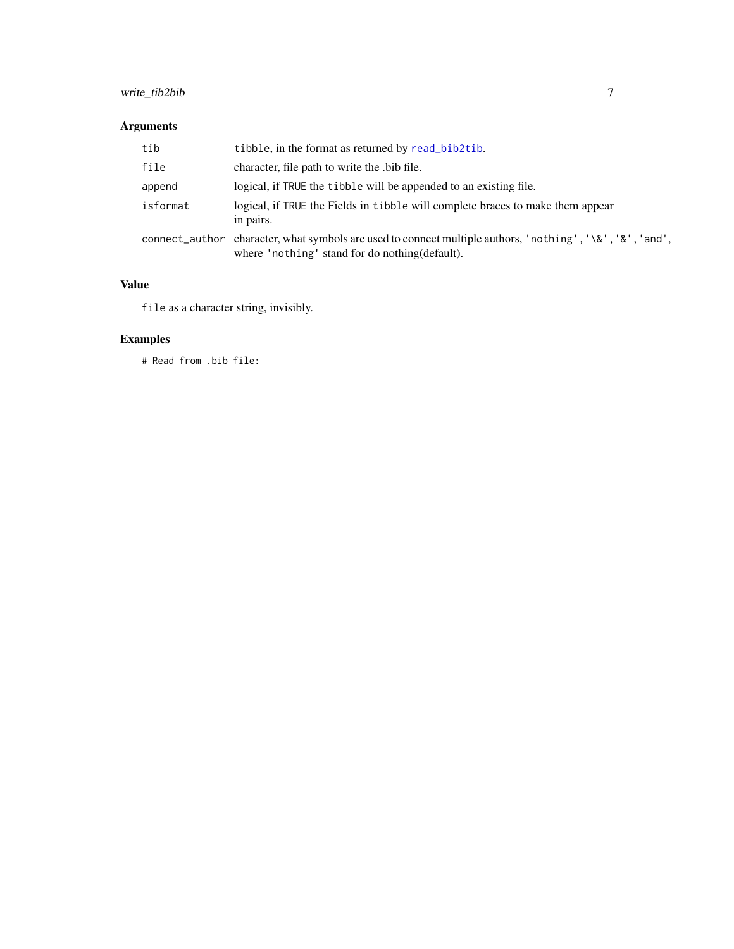### <span id="page-6-0"></span>write\_tib2bib 7

#### Arguments

| tib      | tibble, in the format as returned by read_bib2tib.                                                                                                           |
|----------|--------------------------------------------------------------------------------------------------------------------------------------------------------------|
| file     | character, file path to write the bib file.                                                                                                                  |
| append   | logical, if TRUE the tibble will be appended to an existing file.                                                                                            |
| isformat | logical, if TRUE the Fields in tibble will complete braces to make them appear<br>in pairs.                                                                  |
|          | connect_author character, what symbols are used to connect multiple authors, 'nothing', '\&', '&', 'and',<br>where 'nothing' stand for do nothing (default). |

#### Value

file as a character string, invisibly.

#### Examples

# Read from .bib file: